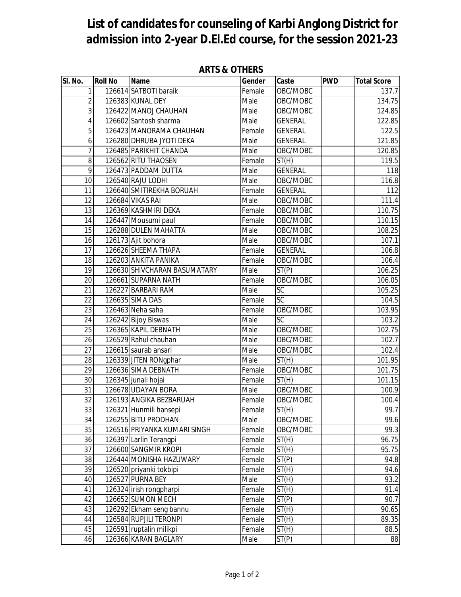## **List of candidates for counseling of Karbi Anglong District for admission into 2-year D.El.Ed course, for the session 2021-23**

| SI. No.        | <b>Roll No</b> | <b>Name</b>                                 | Gender                     |                             | <b>PWD</b> | <b>Total Score</b> |
|----------------|----------------|---------------------------------------------|----------------------------|-----------------------------|------------|--------------------|
|                |                |                                             |                            | Caste                       |            |                    |
| $\mathbf{1}$   |                | 126614 SATBOTI baraik                       | Female                     | OBC/MOBC                    |            | 137.7              |
| $\overline{2}$ |                | 126383 KUNAL DEY                            | Male                       | OBC/MOBC                    |            | 134.75             |
| 3              |                | 126422 MANOJ CHAUHAN                        | $\overline{\mathsf{Male}}$ | OBC/MOBC                    |            | 124.85             |
| 4              |                | 126602 Santosh sharma                       | Male                       | <b>GENERAL</b>              |            | 122.85             |
| 5              |                | 126423 MANORAMA CHAUHAN                     | Female                     | <b>GENERAL</b>              |            | 122.5              |
| 6              |                | 126280 DHRUBA JYOTI DEKA                    | Male                       | <b>GENERAL</b>              |            | 121.85             |
| 7              |                | 126485 PARIKHIT CHANDA                      | $\overline{\mathsf{Male}}$ | OBC/MOBC                    |            | 120.85             |
| 8              |                | 126562 RITU THAOSEN                         | Female                     | $\overline{ST}(H)$          |            | 119.5              |
| 9              |                | 126473 PADDAM DUTTA                         | Male                       | <b>GENERAL</b>              |            | 118                |
| 10             |                | 126540 RAJU LODHI                           | Male                       | OBC/MOBC                    |            | 116.8              |
| 11             |                | 126640 SMITIREKHA BORUAH                    | Female                     | <b>GENERAL</b>              |            | 112                |
| 12             |                | 126684 VIKAS RAI                            | Male                       | OBC/MOBC                    |            | 111.4              |
| 13             |                | 126369 KASHMIRI DEKA                        | Female                     | OBC/MOBC                    |            | 110.75             |
| 14             |                | 126447 Mousumi paul                         | Female                     | OBC/MOBC                    |            | 110.15             |
| 15             |                | 126288 DULEN MAHATTA                        | Male                       | OBC/MOBC                    |            | 108.25             |
| 16             |                | 126173 Ajit bohora                          | Male                       | OBC/MOBC                    |            | 107.1              |
| 17             |                | 126626 SHEEMA THAPA                         | Female                     | <b>GENERAL</b>              |            | 106.8              |
| 18             |                | 126203 ANKITA PANIKA                        | Female                     | OBC/MOBC                    |            | 106.4              |
| 19             |                | 126630 SHIVCHARAN BASUMATARY                | Male                       | $\overline{ST(P)}$          |            | 106.25             |
| 20             |                | 126661 SUPARNA NATH                         | Female                     | OBC/MOBC                    |            | 106.05             |
| 21             |                | 126227 BARBARI RAM                          | Male                       | SC                          |            | 105.25             |
| 22             |                | 126635 SIMA DAS                             | Female                     | $\overline{SC}$             |            | 104.5              |
| 23             |                | 126463 Neha saha                            | Female                     | OBC/MOBC<br>$\overline{SC}$ |            | 103.95             |
| 24             |                | 126242 Bijoy Biswas<br>126365 KAPIL DEBNATH | Male                       | OBC/MOBC                    |            | 103.2              |
| 25<br>26       |                | 126529 Rahul chauhan                        | Male<br>Male               | OBC/MOBC                    |            | 102.75<br>102.7    |
| 27             |                | 126615 saurab ansari                        | Male                       | OBC/MOBC                    |            |                    |
| 28             |                | 126339 JITEN RONgphar                       | Male                       | $\overline{ST}(H)$          |            | 102.4<br>101.95    |
| 29             |                | 126636 SIMA DEBNATH                         | Female                     | OBC/MOBC                    |            | 101.75             |
| 30             |                | 126345 junali hojai                         | Female                     |                             |            | 101.15             |
| 31             |                | 126678 UDAYAN BORA                          | Male                       | ST(H)<br>OBC/MOBC           |            | 100.9              |
| 32             |                | 126193 ANGIKA BEZBARUAH                     | Female                     | OBC/MOBC                    |            | 100.4              |
| 33             |                | 126321 Hunmili hansepi                      | Female                     |                             |            | 99.7               |
| 34             |                | 126255 BITU PRODHAN                         | Male                       | ST(H)<br>OBC/MOBC           |            | 99.6               |
| 35             |                | 126516 PRIYANKA KUMARI SINGH                | Female                     | OBC/MOBC                    |            | 99.3               |
| 36             |                | 126397 Larlin Terangpi                      | Female                     | ST(H)                       |            | 96.75              |
| 37             |                | 126600 SANGMIR KROPI                        | Female                     | ST(H)                       |            | 95.75              |
| 38             |                | 126444 MONISHA HAZUWARY                     | Female                     | ST(P)                       |            | 94.8               |
| 39             |                | 126520 priyanki tokbipi                     | Female                     | ST(H)                       |            | 94.6               |
| 40             |                | 126527 PURNA BEY                            | Male                       | ST(H)                       |            | 93.2               |
| 41             |                | 126324 irish rongpharpi                     | Female                     | ST(H)                       |            | 91.4               |
| 42             |                | 126652 SUMON MECH                           | Female                     | ST(P)                       |            | 90.7               |
| 43             |                | 126292 Ekham seng bannu                     | Female                     | ST(H)                       |            | 90.65              |
| 44             |                | 126584 RUPJILI TERONPI                      | Female                     | ST(H)                       |            | 89.35              |
| 45             |                | 126591 ruptalin milikpi                     | Female                     | ST(H)                       |            | 88.5               |
| 46             |                | 126366 KARAN BAGLARY                        | Male                       | ST(P)                       |            | 88                 |
|                |                |                                             |                            |                             |            |                    |

## **ARTS & OTHERS**